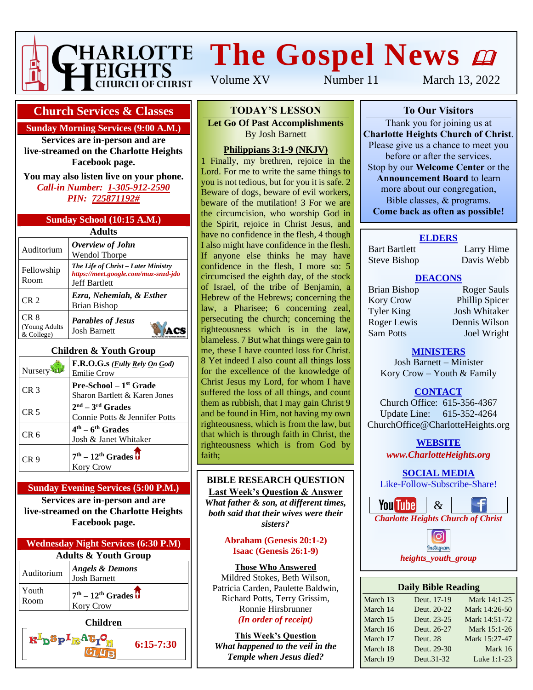

# **THARLOTTE The Gospel News @**

Volume XV Number 11 March 13, 2022

#### **Church Services & Classes**

#### **Sunday Morning Services (9:00 A.M.)**

**Services are in-person and are live-streamed on the Charlotte Heights Facebook page.**

**You may also listen live on your phone.** *Call-in Number: 1-305-912-2590 PIN: 725871192#*

| Sunday School (10:15 A.M.) |  |  |  |  |
|----------------------------|--|--|--|--|
| <b>Adults</b>              |  |  |  |  |
|                            |  |  |  |  |

| Auditorium                          | Overview of John<br><b>Wendol Thorpe</b>                                                            |
|-------------------------------------|-----------------------------------------------------------------------------------------------------|
| Fellowship<br>Room                  | The Life of Christ – Later Ministry<br>https://meet.google.com/muz-snzd-jdo<br><b>Jeff Bartlett</b> |
| CR <sub>2</sub>                     | Ezra, Nehemiah, & Esther<br><b>Brian Bishop</b>                                                     |
| CR 8<br>(Young Adults<br>& College) | <b>Parables of Jesus</b><br><b>Josh Barnett</b>                                                     |

#### **Children & Youth Group**

| Nursery         | F.R.O.G.s ( <i>Fully Rely On God</i> )<br><b>Emilie Crow</b>     |
|-----------------|------------------------------------------------------------------|
| CR 3            | <b>Pre-School</b> – $1st$ Grade<br>Sharon Bartlett & Karen Jones |
| CR <sub>5</sub> | $2nd - 3rd$ Grades<br>Connie Potts & Jennifer Potts              |
| CR <sub>6</sub> | $4th - 6th$ Grades<br>Josh & Janet Whitaker                      |
| CR 9            | $7th - 12th$ Grades $\overline{\textbf{U}}$<br><b>Kory Crow</b>  |

#### **Sunday Evening Services (5:00 P.M.)**

**Services are in-person and are live-streamed on the Charlotte Heights Facebook page.**



K<sup>I</sup>D<sup>S</sup>P<sup>I</sup>R<sup>A</sup>GIO

**6:15-7:30**

#### **To Our Visitors TODAY'S LESSON**

**Let Go Of Past Accomplishments Charlotte Heights Christian Barnett** 

#### **Philippians 3:1-9 (NKJV)**

 $\frac{1 \text{ mnppass } 3.1 - 7 \text{ (1488 V)}}{1 \text{ Finally, my brethern, rejection}}$ Lord. For me to write the same things to **And is the learnt Board and Same dings to** you is not tedious, but for you it is safe. 2 Beware of dogs, beware of evil workers, beware of the mutilation! 3 For we are the circumcision, who worship God in the Spirit, rejoice in Christ Jesus, and have no confidence in the flesh, 4 though I also might have confidence in the flesh. If anyone else thinks he may have confidence in the flesh, I more so: 5 circumcised the eighth day, of the stock of Israel, of the tribe of Benjamin, a Hebrew of the Hebrews; concerning the law, a Pharisee; 6 concerning zeal, persecuting the church; concerning the righteousness which is in the law, blameless. 7 But what things were gain to me, these I have counted loss for Christ. 8 Yet indeed I also count all things loss for the excellence of the knowledge of Christ Jesus my Lord, for whom I have suffered the loss of all things, and count them as rubbish, that I may gain Christ 9 and be found in Him, not having my own righteousness, which is from the law, but that which is through faith in Christ, the righteousness which is from God by faith;

#### **BIBLE RESEARCH QUESTION**

**Last Week's Question & Answer** *What father & son, at different times, both said that their wives were their sisters?*

#### **Abraham (Genesis 20:1-2) Isaac (Genesis 26:1-9)**

**Those Who Answered** Mildred Stokes, Beth Wilson, Patricia Carden, Paulette Baldwin, Richard Potts, Terry Grissim, Ronnie Hirsbrunner *(In order of receipt)*

**This Week's Question** *What happened to the veil in the Temple when Jesus died?*

**To Our Visitors**

Thank you for joining us at **Charlotte Heights Church of Christ**. Please give us a chance to meet you before or after the services. Stop by our **Welcome Center** or the **Announcement Board** to learn more about our congregation, Bible classes, & programs. **Come back as often as possible!**

#### **ELDERS**

Bart Bartlett Larry Hime Steve Bishop Davis Webb

#### **DEACONS**

Kory Crow Phillip Spicer Tyler King Josh Whitaker Roger Lewis Dennis Wilson Sam Potts Joel Wright

Brian Bishop Roger Sauls

#### **MINISTERS**

Josh Barnett – Minister Kory Crow – Youth & Family

#### **CONTACT**

Church Office: 615-356-4367 Update Line: 615-352-4264 ChurchOffice@CharlotteHeights.org

> **Media Postings** *www.CharlotteHeights.org* **WEBSITE**

**SOCIAL MEDIA** 

Like-Follow-Subscribe-Share!



• Sunday Adult Auditorium Class nstagram • Wednesday Adult Bible Study *heights\_youth\_group*

| <b>Daily Bible Reading</b> |             |               |  |  |  |  |
|----------------------------|-------------|---------------|--|--|--|--|
| March 13                   | Deut. 17-19 | Mark 14:1-25  |  |  |  |  |
| March 14                   | Deut. 20-22 | Mark 14:26-50 |  |  |  |  |
| March 15                   | Deut. 23-25 | Mark 14:51-72 |  |  |  |  |
| March 16                   | Deut. 26-27 | Mark 15:1-26  |  |  |  |  |
| March 17                   | Deut. 28    | Mark 15:27-47 |  |  |  |  |
| March 18                   | Deut. 29-30 | Mark 16       |  |  |  |  |
| March 19                   | Deut.31-32  | Luke 1:1-23   |  |  |  |  |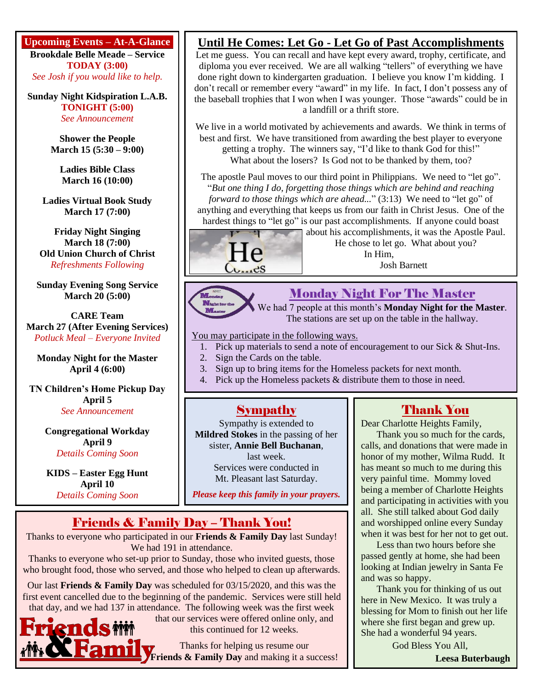**Upcoming Events – At-A-Glance**

**Brookdale Belle Meade – Service TODAY (3:00)** *See Josh if you would like to help.*

**Sunday Night Kidspiration L.A.B. TONIGHT (5:00)** *See Announcement*

> **Shower the People March 15 (5:30 – 9:00)**

**Ladies Bible Class March 16 (10:00)**

**Ladies Virtual Book Study March 17 (7:00)**

**Friday Night Singing March 18 (7:00) Old Union Church of Christ** *Refreshments Following*

**Sunday Evening Song Service March 20 (5:00)**

**CARE Team March 27 (After Evening Services)** *Potluck Meal – Everyone Invited*

**Monday Night for the Master April 4 (6:00)**

**TN Children's Home Pickup Day April 5** *See Announcement*

> **Congregational Workday April 9** *Details Coming Soon*

**KIDS – Easter Egg Hunt April 10** *Details Coming Soon*

#### **Until He Comes: Let Go - Let Go of Past Accomplishments**

Let me guess. You can recall and have kept every award, trophy, certificate, and diploma you ever received. We are all walking "tellers" of everything we have done right down to kindergarten graduation. I believe you know I'm kidding. I don't recall or remember every "award" in my life. In fact, I don't possess any of the baseball trophies that I won when I was younger. Those "awards" could be in a landfill or a thrift store.

We live in a world motivated by achievements and awards. We think in terms of best and first. We have transitioned from awarding the best player to everyone getting a trophy. The winners say, "I'd like to thank God for this!" What about the losers? Is God not to be thanked by them, too?

The apostle Paul moves to our third point in Philippians. We need to "let go". "*But one thing I do, forgetting those things which are behind and reaching forward to those things which are ahead...*" (3:13) We need to "let go" of anything and everything that keeps us from our faith in Christ Jesus. One of the hardest things to "let go" is our past accomplishments. If anyone could boast



about his accomplishments, it was the Apostle Paul. He chose to let go. What about you? In Him, Josh Barnett



#### Monday Night For The Master

We had 7 people at this month's **Monday Night for the Master**. The stations are set up on the table in the hallway.

You may participate in the following ways.

- 1. Pick up materials to send a note of encouragement to our Sick & Shut-Ins.
- 2. Sign the Cards on the table.
- 3. Sign up to bring items for the Homeless packets for next month.
- 4. Pick up the Homeless packets & distribute them to those in need.

#### Sympathy

Sympathy is extended to **Mildred Stokes** in the passing of her sister, **Annie Bell Buchanan**, last week. Services were conducted in Mt. Pleasant last Saturday.

*Please keep this family in your prayers.*

### Friends & Family Day – Thank You!

Thanks to everyone who participated in our **Friends & Family Day** last Sunday! We had 191 in attendance.

Thanks to everyone who set-up prior to Sunday, those who invited guests, those who brought food, those who served, and those who helped to clean up afterwards.

Our last **Friends & Family Day** was scheduled for 03/15/2020, and this was the first event cancelled due to the beginning of the pandemic. Services were still held that day, and we had 137 in attendance. The following week was the first week

ends

that our services were offered online only, and this continued for 12 weeks.

Thanks for helping us resume our **Friends & Family Day** and making it a success!

#### Thank You

Dear Charlotte Heights Family,

Thank you so much for the cards, calls, and donations that were made in honor of my mother, Wilma Rudd. It has meant so much to me during this very painful time. Mommy loved being a member of Charlotte Heights and participating in activities with you all. She still talked about God daily and worshipped online every Sunday when it was best for her not to get out.

Less than two hours before she passed gently at home, she had been looking at Indian jewelry in Santa Fe and was so happy.

Thank you for thinking of us out here in New Mexico. It was truly a blessing for Mom to finish out her life where she first began and grew up. She had a wonderful 94 years.

God Bless You All,

**Leesa Buterbaugh**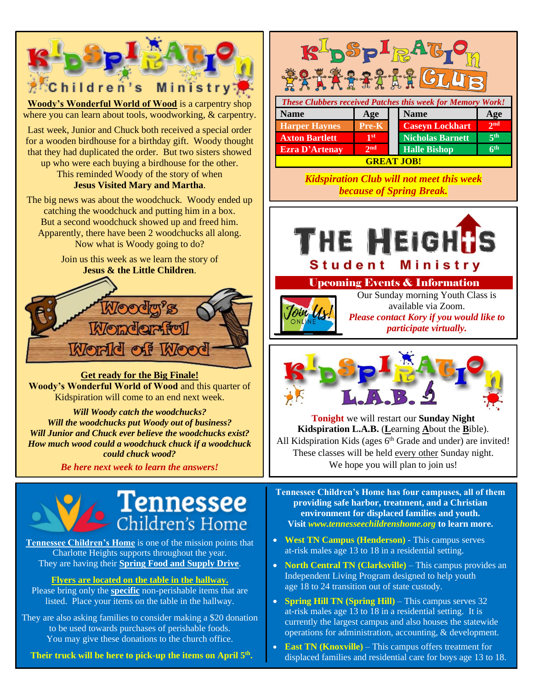

## ennessee Children's Home

**Tennessee Children's Home** is one of the mission points that Charlotte Heights supports throughout the year. They are having their **Spring Food and Supply Drive**.

#### **Flyers are located on the table in the hallway.**

Please bring only the **specific** non-perishable items that are listed. Place your items on the table in the hallway.

They are also asking families to consider making a \$20 donation to be used towards purchases of perishable foods. You may give these donations to the church office.

**Their truck will be here to pick-up the items on April 5 th .**



*Kidspiration Club will not meet this week because of Spring Break.*



#### Upcoming Events & Information



Our Sunday morning Youth Class is available via Zoom. *Please contact Kory if you would like to participate virtually.*

l.



**Tonight** we will restart our **Sunday Night Kidspiration L.A.B.** (**L**earning **A**bout the **B**ible). All Kidspiration Kids (ages  $6<sup>th</sup>$  Grade and under) are invited! These classes will be held every other Sunday night. We hope you will plan to join us!

**Tennessee Children's Home has four campuses, all of them providing safe harbor, treatment, and a Christian environment for displaced families and youth. Visit** *[www.tennesseechildrenshome.org](http://www.tennesseechildrenshome.org/)* **to learn more.**

- **West TN Campus (Henderson)** This campus serves at-risk males age 13 to 18 in a residential setting.
- **North Central TN** (Clarksville) This campus provides an Independent Living Program designed to help youth **Please 18 to 24 transition out of state custody.**
- **Spring Hill TN (Spring Hill)** This campus serves 32 at the mates age 15 to 16 m a residential setting. It is<br>currently the largest campus and also houses the statewide outcome use to any the angles campus and also nodes the state which operations for administration, accounting, & development. at-risk males age 13 to 18 in a residential setting. It is
- **East TN (Knoxville)** This campus offers treatment for **the displaced families and residential care for boys age 13 to 18.**